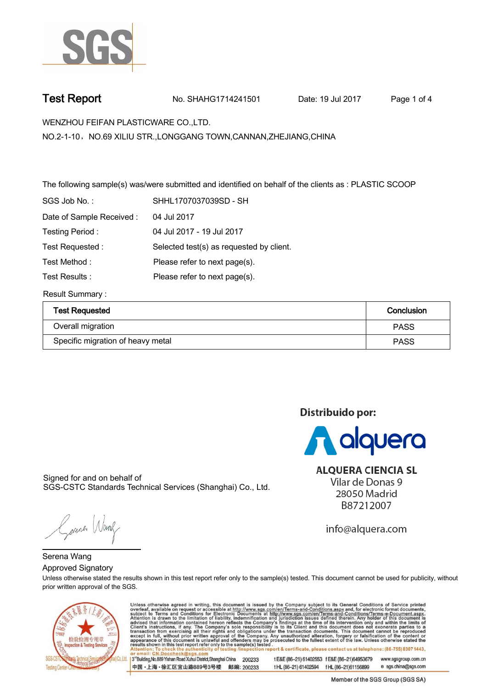

**Test Report. No. SHAHG1714241501 Date: 19 Jul 2017. Page 1 of 4.**

Distribuido por:

**A** alquera

**ALOUERA CIENCIA SL** Vilar de Donas 9 28050 Madrid B87212007

info@alquera.com

**WENZHOU FEIFAN PLASTICWARE CO.,LTD. .**

**NO.2-1-10**,**NO.69 XILIU STR.,LONGGANG TOWN,CANNAN,ZHEJIANG,CHINA**

**The following sample(s) was/were submitted and identified on behalf of the clients as : PLASTIC SCOOP .**

| SGS Job No.:             | SHHL1707037039SD - SH                    |
|--------------------------|------------------------------------------|
| Date of Sample Received: | 04 Jul 2017                              |
| Testing Period:          | 04 Jul 2017 - 19 Jul 2017                |
| Test Requested:          | Selected test(s) as requested by client. |
| Test Method:             | Please refer to next page(s).            |
| Test Results:            | Please refer to next page(s).            |
|                          |                                          |

**Result Summary :.**

| <b>Test Requested</b>             | Conclusion  |
|-----------------------------------|-------------|
| Overall migration                 | <b>PASS</b> |
| Specific migration of heavy metal | <b>PASS</b> |

Signed for and on behalf of SGS-CSTC Standards Technical Services (Shanghai) Co., Ltd..

Gerener Wang

**Unless otherwise stated the results shown in this test report refer only to the sample(s) tested. This document cannot be used for publicity, without prior written approval of the SGS. Approved Signatory . Serena Wang.**



Unless otherwise agreed in writing, this document is issued by the Company subject to its General Conditions of Service printed overleaf, available on request or accessible at http://www.sgs.com/en/Terms-and-Conditions.asp 3<sup>rd</sup> Building, No.889 Yishan Road Xuhui District, Shanghai China 200233 t E&E (86-21) 61402553 f E&E (86-21)64953679 www.sasaroup.com.cn 中国·上海·徐汇区宜山路889号3号楼 邮编: 200233 t HL (86-21) 61402594 f HL (86-21) 61156899 e sgs.china@sgs.com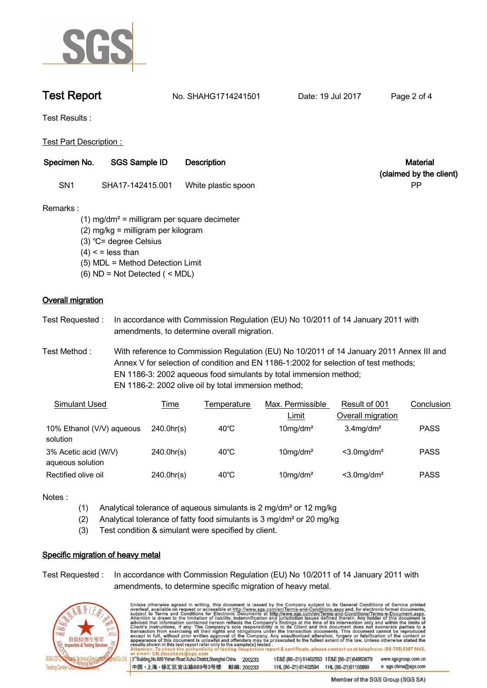

**Test Report No. SHAHG1714241501** Date: 19 Jul 2017 Page 2 of 4

**Test Results :.**

**Test Part Description : .**

| Specimen No. | <b>SGS Sample ID</b> | <b>Description</b>  | <b>Material</b>         |
|--------------|----------------------|---------------------|-------------------------|
|              |                      |                     | (claimed by the client) |
| SN1          | SHA17-142415.001     | White plastic spoon | РF                      |

# **Remarks :**

 **(1) mg/dm² = milligram per square decimeter (2) mg/kg = milligram per kilogram (3) ℃= degree Celsius (4) < = less than (5) MDL = Method Detection Limit (6) ND = Not Detected ( < MDL)**

# **Overall migration.**

**Test Requested :. In accordance with Commission Regulation (EU) No 10/2011 of 14 January 2011 with amendments, to determine overall migration. .**

**Test Method :. With reference to Commission Regulation (EU) No 10/2011 of 14 January 2011 Annex III and Annex V for selection of condition and EN 1186-1:2002 for selection of test methods; EN 1186-3: 2002 aqueous food simulants by total immersion method; EN 1186-2: 2002 olive oil by total immersion method; .**

| Simulant Used                            | <u>Time</u>      | Temperature    | Max. Permissible        | Result of 001              | Conclusion  |
|------------------------------------------|------------------|----------------|-------------------------|----------------------------|-------------|
|                                          |                  |                | <u>Limit</u>            | Overall migration          |             |
| 10% Ethanol (V/V) aqueous<br>solution    | $240.0$ hr $(s)$ | $40^{\circ}$ C | $10$ mg/dm <sup>2</sup> | $3.4$ mg/dm <sup>2</sup>   | <b>PASS</b> |
| 3% Acetic acid (W/V)<br>aqueous solution | 240.0hr(s)       | $40^{\circ}$ C | $10$ mg/dm <sup>2</sup> | $<$ 3.0 mg/dm <sup>2</sup> | <b>PASS</b> |
| Rectified olive oil                      | $240.0$ hr $(s)$ | $40^{\circ}$ C | $10$ mg/dm <sup>2</sup> | $<$ 3.0 mg/dm <sup>2</sup> | <b>PASS</b> |

**Notes :.**

- **(1) Analytical tolerance of aqueous simulants is 2 mg/dm² or 12 mg/kg**
- **(2) Analytical tolerance of fatty food simulants is 3 mg/dm² or 20 mg/kg**
- **(3) Test condition & simulant were specified by client. .**

# **Specific migration of heavy metal.**

**Test Requested :. In accordance with Commission Regulation (EU) No 10/2011 of 14 January 2011 with amendments, to determine specific migration of heavy metal. .**



Unless otherwise agreed in writing, this document is issued by the Company subject to its General Conditions of Service printed overleaf, available on request or accessible at http://www.sgs.com/en/Terms-and-Conditions.asp ion report & certificate, please contact us at telephone: (86-755) 8307 1443, esting/ins 3<sup>rd</sup>Building, No.889 Yishan Road Xuhui District, Shanghai China 200233 t E&E (86-21) 61402553 f E&E (86-21)64953679 www.sgsgroup.com.cn

tHL (86-21) 61402594 fHL (86-21) 61156899

中国·上海·徐汇区宜山路889号3号楼 邮编: 200233

e sgs.china@sgs.com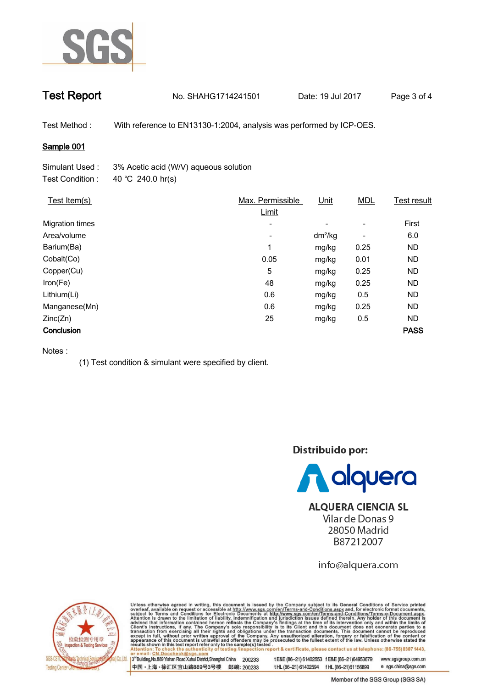

# **Test Report. No. SHAHG1714241501 Date: 19 Jul 2017. Page 3 of 4.**

**Test Method :. With reference to EN13130-1:2004, analysis was performed by ICP-OES. .**

## **Sample 001.**

| Simulant Used:   | 3% Acetic acid (W/V) aqueous solution |
|------------------|---------------------------------------|
| Test Condition : | 40 °C 240.0 hr(s)                     |

| Test Item(s)           | Max. Permissible<br>Limit | Unit      | <b>MDL</b>               | <b>Test result</b> |
|------------------------|---------------------------|-----------|--------------------------|--------------------|
| <b>Migration times</b> | $\overline{\phantom{0}}$  | -         | $\overline{\phantom{a}}$ | First              |
| Area/volume            | $\overline{\phantom{a}}$  | $dm^2/kg$ | $\overline{\phantom{a}}$ | 6.0                |
| Barium(Ba)             | 1                         | mg/kg     | 0.25                     | <b>ND</b>          |
| Cobalt(Co)             | 0.05                      | mg/kg     | 0.01                     | <b>ND</b>          |
| Copper(Cu)             | 5                         | mg/kg     | 0.25                     | <b>ND</b>          |
| Iron(Fe)               | 48                        | mg/kg     | 0.25                     | <b>ND</b>          |
| Lithium(Li)            | 0.6                       | mg/kg     | 0.5                      | <b>ND</b>          |
| Manganese(Mn)          | 0.6                       | mg/kg     | 0.25                     | <b>ND</b>          |
| Zinc(Zn)               | 25                        | mg/kg     | 0.5                      | <b>ND</b>          |
| Conclusion             |                           |           |                          | <b>PASS</b>        |

### **Notes :**

**(1) Test condition & simulant were specified by client. .**

Distribuido por:



**ALQUERA CIENCIA SL** Vilar de Donas 9 28050 Madrid B87212007

info@alquera.com



Unless otherwise agreed in writing, this document is issued by the Company subject to its General Conditions of Service printed overleaf, available on request or accessible at http://www.sgs.com/en/Terms-and-Conditions.asp

3<sup>rd</sup>Building, No.889 Yishan Road Xuhui District, Shanghai China 200233 t HL (86-21) 61402594 f HL (86-21) 61156899 中国·上海·徐汇区宜山路889号3号楼 邮编: 200233

t E&E (86-21) 61402553 f E&E (86-21)64953679 www.sgsgroup.com.cn

e sgs.china@sgs.com